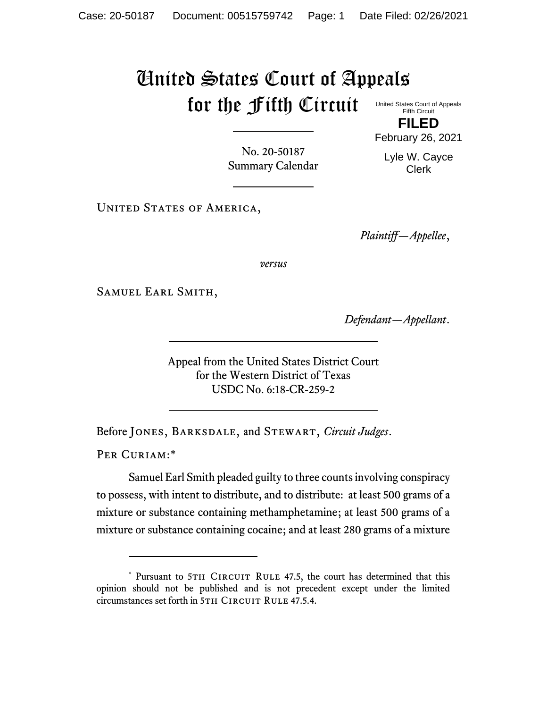## United States Court of Appeals for the Fifth Circuit United States Court of Appeals

Fifth Circuit **FILED**

No. 20-50187 Summary Calendar Lyle W. Cayce Clerk

February 26, 2021

UNITED STATES OF AMERICA,

*Plaintiff—Appellee*,

*versus*

Samuel Earl Smith,

*Defendant—Appellant*.

Appeal from the United States District Court for the Western District of Texas USDC No. 6:18-CR-259-2

Before Jones, Barksdale, and Stewart, *Circuit Judges*.

PER CURIAM:\*

Samuel Earl Smith pleaded guilty to three counts involving conspiracy to possess, with intent to distribute, and to distribute: at least 500 grams of a mixture or substance containing methamphetamine; at least 500 grams of a mixture or substance containing cocaine; and at least 280 grams of a mixture

<sup>\*</sup> Pursuant to 5TH CIRCUIT RULE 47.5, the court has determined that this opinion should not be published and is not precedent except under the limited circumstances set forth in 5TH CIRCUIT RULE 47.5.4.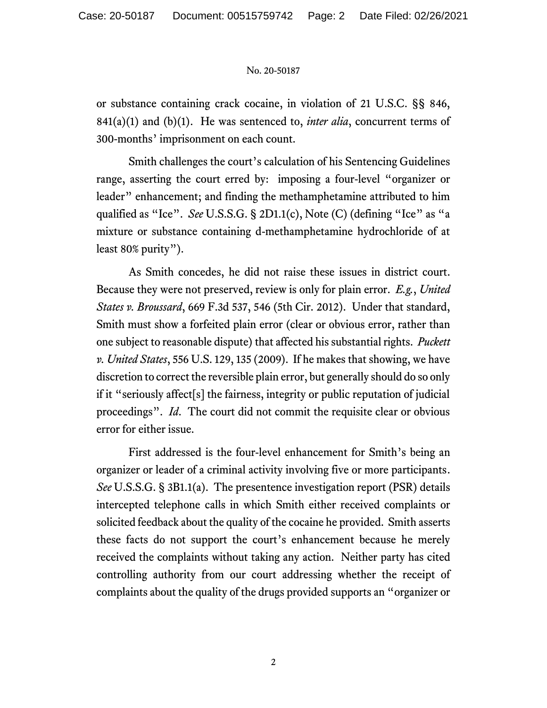## No. 20-50187

or substance containing crack cocaine, in violation of 21 U.S.C. §§ 846, 841(a)(1) and (b)(1). He was sentenced to, *inter alia*, concurrent terms of 300-months' imprisonment on each count.

Smith challenges the court's calculation of his Sentencing Guidelines range, asserting the court erred by: imposing a four-level "organizer or leader" enhancement; and finding the methamphetamine attributed to him qualified as "Ice". *See* U.S.S.G. § 2D1.1(c), Note (C) (defining "Ice" as "a mixture or substance containing d-methamphetamine hydrochloride of at least 80% purity").

As Smith concedes, he did not raise these issues in district court. Because they were not preserved, review is only for plain error. *E.g.*, *United States v. Broussard*, 669 F.3d 537, 546 (5th Cir. 2012). Under that standard, Smith must show a forfeited plain error (clear or obvious error, rather than one subject to reasonable dispute) that affected his substantial rights. *Puckett v. United States*, 556 U.S. 129, 135 (2009). If he makes that showing, we have discretion to correct the reversible plain error, but generally should do so only if it "seriously affect[s] the fairness, integrity or public reputation of judicial proceedings". *Id*. The court did not commit the requisite clear or obvious error for either issue.

First addressed is the four-level enhancement for Smith's being an organizer or leader of a criminal activity involving five or more participants. *See* U.S.S.G. § 3B1.1(a). The presentence investigation report (PSR) details intercepted telephone calls in which Smith either received complaints or solicited feedback about the quality of the cocaine he provided. Smith asserts these facts do not support the court's enhancement because he merely received the complaints without taking any action. Neither party has cited controlling authority from our court addressing whether the receipt of complaints about the quality of the drugs provided supports an "organizer or